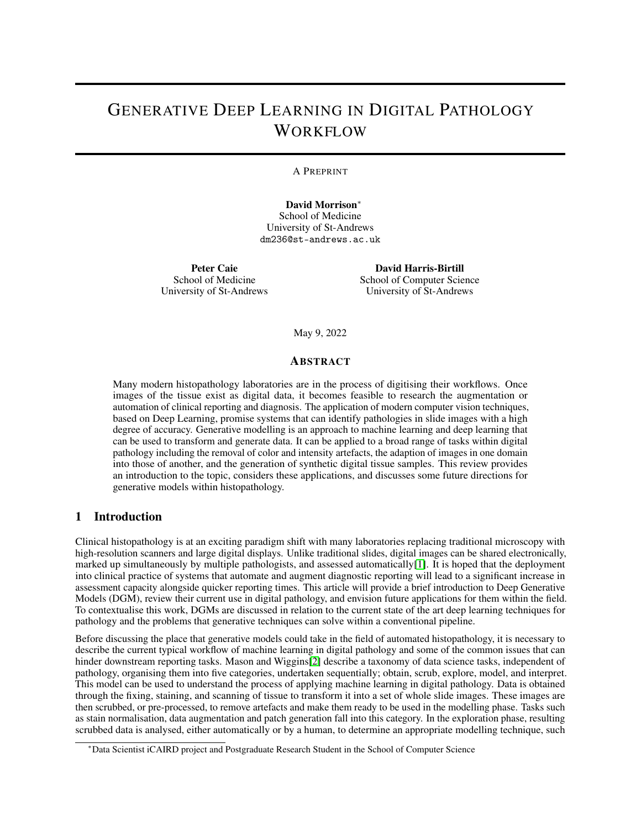# GENERATIVE DEEP LEARNING IN DIGITAL PATHOLOGY WORKFLOW

#### A PREPRINT

David Morrison<sup>∗</sup> School of Medicine University of St-Andrews dm236@st-andrews.ac.uk

Peter Caie School of Medicine University of St-Andrews

David Harris-Birtill School of Computer Science University of St-Andrews

May 9, 2022

#### ABSTRACT

Many modern histopathology laboratories are in the process of digitising their workflows. Once images of the tissue exist as digital data, it becomes feasible to research the augmentation or automation of clinical reporting and diagnosis. The application of modern computer vision techniques, based on Deep Learning, promise systems that can identify pathologies in slide images with a high degree of accuracy. Generative modelling is an approach to machine learning and deep learning that can be used to transform and generate data. It can be applied to a broad range of tasks within digital pathology including the removal of color and intensity artefacts, the adaption of images in one domain into those of another, and the generation of synthetic digital tissue samples. This review provides an introduction to the topic, considers these applications, and discusses some future directions for generative models within histopathology.

### 1 Introduction

Clinical histopathology is at an exciting paradigm shift with many laboratories replacing traditional microscopy with high-resolution scanners and large digital displays. Unlike traditional slides, digital images can be shared electronically, marked up simultaneously by multiple pathologists, and assessed automatically[\[1\]](#page-6-0). It is hoped that the deployment into clinical practice of systems that automate and augment diagnostic reporting will lead to a significant increase in assessment capacity alongside quicker reporting times. This article will provide a brief introduction to Deep Generative Models (DGM), review their current use in digital pathology, and envision future applications for them within the field. To contextualise this work, DGMs are discussed in relation to the current state of the art deep learning techniques for pathology and the problems that generative techniques can solve within a conventional pipeline.

Before discussing the place that generative models could take in the field of automated histopathology, it is necessary to describe the current typical workflow of machine learning in digital pathology and some of the common issues that can hinder downstream reporting tasks. Mason and Wiggins[\[2\]](#page-6-1) describe a taxonomy of data science tasks, independent of pathology, organising them into five categories, undertaken sequentially; obtain, scrub, explore, model, and interpret. This model can be used to understand the process of applying machine learning in digital pathology. Data is obtained through the fixing, staining, and scanning of tissue to transform it into a set of whole slide images. These images are then scrubbed, or pre-processed, to remove artefacts and make them ready to be used in the modelling phase. Tasks such as stain normalisation, data augmentation and patch generation fall into this category. In the exploration phase, resulting scrubbed data is analysed, either automatically or by a human, to determine an appropriate modelling technique, such

<sup>∗</sup>Data Scientist iCAIRD project and Postgraduate Research Student in the School of Computer Science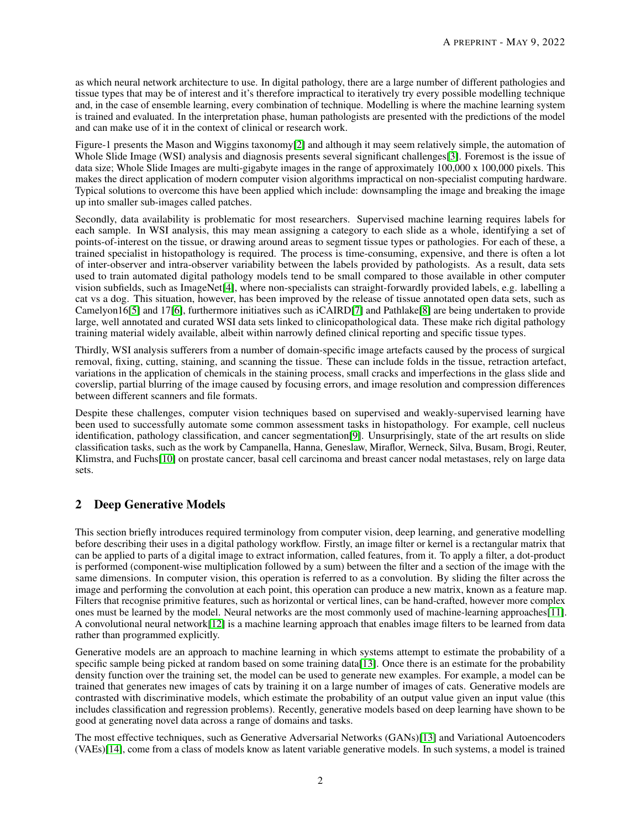as which neural network architecture to use. In digital pathology, there are a large number of different pathologies and tissue types that may be of interest and it's therefore impractical to iteratively try every possible modelling technique and, in the case of ensemble learning, every combination of technique. Modelling is where the machine learning system is trained and evaluated. In the interpretation phase, human pathologists are presented with the predictions of the model and can make use of it in the context of clinical or research work.

Figure-1 presents the Mason and Wiggins taxonomy[\[2\]](#page-6-1) and although it may seem relatively simple, the automation of Whole Slide Image (WSI) analysis and diagnosis presents several significant challenges[\[3\]](#page-6-2). Foremost is the issue of data size; Whole Slide Images are multi-gigabyte images in the range of approximately 100,000 x 100,000 pixels. This makes the direct application of modern computer vision algorithms impractical on non-specialist computing hardware. Typical solutions to overcome this have been applied which include: downsampling the image and breaking the image up into smaller sub-images called patches.

Secondly, data availability is problematic for most researchers. Supervised machine learning requires labels for each sample. In WSI analysis, this may mean assigning a category to each slide as a whole, identifying a set of points-of-interest on the tissue, or drawing around areas to segment tissue types or pathologies. For each of these, a trained specialist in histopathology is required. The process is time-consuming, expensive, and there is often a lot of inter-observer and intra-observer variability between the labels provided by pathologists. As a result, data sets used to train automated digital pathology models tend to be small compared to those available in other computer vision subfields, such as ImageNet[\[4\]](#page-6-3), where non-specialists can straight-forwardly provided labels, e.g. labelling a cat vs a dog. This situation, however, has been improved by the release of tissue annotated open data sets, such as Camelyon16[\[5\]](#page-6-4) and 17[\[6\]](#page-6-5), furthermore initiatives such as iCAIRD[\[7\]](#page-6-6) and Pathlake[\[8\]](#page-6-7) are being undertaken to provide large, well annotated and curated WSI data sets linked to clinicopathological data. These make rich digital pathology training material widely available, albeit within narrowly defined clinical reporting and specific tissue types.

Thirdly, WSI analysis sufferers from a number of domain-specific image artefacts caused by the process of surgical removal, fixing, cutting, staining, and scanning the tissue. These can include folds in the tissue, retraction artefact, variations in the application of chemicals in the staining process, small cracks and imperfections in the glass slide and coverslip, partial blurring of the image caused by focusing errors, and image resolution and compression differences between different scanners and file formats.

Despite these challenges, computer vision techniques based on supervised and weakly-supervised learning have been used to successfully automate some common assessment tasks in histopathology. For example, cell nucleus identification, pathology classification, and cancer segmentation[\[9\]](#page-6-8). Unsurprisingly, state of the art results on slide classification tasks, such as the work by Campanella, Hanna, Geneslaw, Miraflor, Werneck, Silva, Busam, Brogi, Reuter, Klimstra, and Fuchs[\[10\]](#page-6-9) on prostate cancer, basal cell carcinoma and breast cancer nodal metastases, rely on large data sets.

## 2 Deep Generative Models

This section briefly introduces required terminology from computer vision, deep learning, and generative modelling before describing their uses in a digital pathology workflow. Firstly, an image filter or kernel is a rectangular matrix that can be applied to parts of a digital image to extract information, called features, from it. To apply a filter, a dot-product is performed (component-wise multiplication followed by a sum) between the filter and a section of the image with the same dimensions. In computer vision, this operation is referred to as a convolution. By sliding the filter across the image and performing the convolution at each point, this operation can produce a new matrix, known as a feature map. Filters that recognise primitive features, such as horizontal or vertical lines, can be hand-crafted, however more complex ones must be learned by the model. Neural networks are the most commonly used of machine-learning approaches[\[11\]](#page-6-10). A convolutional neural network[\[12\]](#page-7-0) is a machine learning approach that enables image filters to be learned from data rather than programmed explicitly.

Generative models are an approach to machine learning in which systems attempt to estimate the probability of a specific sample being picked at random based on some training data[\[13\]](#page-7-1). Once there is an estimate for the probability density function over the training set, the model can be used to generate new examples. For example, a model can be trained that generates new images of cats by training it on a large number of images of cats. Generative models are contrasted with discriminative models, which estimate the probability of an output value given an input value (this includes classification and regression problems). Recently, generative models based on deep learning have shown to be good at generating novel data across a range of domains and tasks.

The most effective techniques, such as Generative Adversarial Networks (GANs)[\[13\]](#page-7-1) and Variational Autoencoders (VAEs)[\[14\]](#page-7-2), come from a class of models know as latent variable generative models. In such systems, a model is trained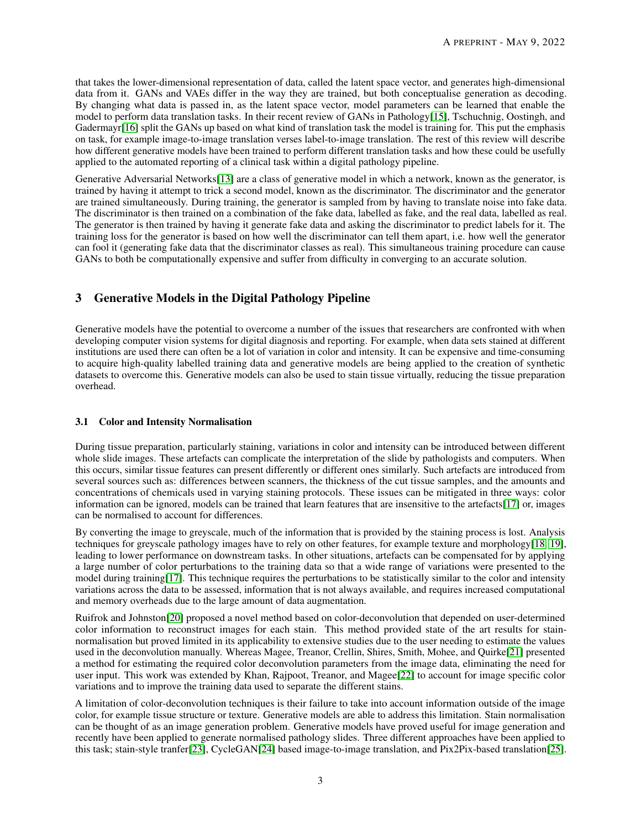that takes the lower-dimensional representation of data, called the latent space vector, and generates high-dimensional data from it. GANs and VAEs differ in the way they are trained, but both conceptualise generation as decoding. By changing what data is passed in, as the latent space vector, model parameters can be learned that enable the model to perform data translation tasks. In their recent review of GANs in Pathology[\[15\]](#page-7-3), Tschuchnig, Oostingh, and Gadermayr<sup>[\[16\]](#page-7-4)</sup> split the GANs up based on what kind of translation task the model is training for. This put the emphasis on task, for example image-to-image translation verses label-to-image translation. The rest of this review will describe how different generative models have been trained to perform different translation tasks and how these could be usefully applied to the automated reporting of a clinical task within a digital pathology pipeline.

Generative Adversarial Networks[\[13\]](#page-7-1) are a class of generative model in which a network, known as the generator, is trained by having it attempt to trick a second model, known as the discriminator. The discriminator and the generator are trained simultaneously. During training, the generator is sampled from by having to translate noise into fake data. The discriminator is then trained on a combination of the fake data, labelled as fake, and the real data, labelled as real. The generator is then trained by having it generate fake data and asking the discriminator to predict labels for it. The training loss for the generator is based on how well the discriminator can tell them apart, i.e. how well the generator can fool it (generating fake data that the discriminator classes as real). This simultaneous training procedure can cause GANs to both be computationally expensive and suffer from difficulty in converging to an accurate solution.

## 3 Generative Models in the Digital Pathology Pipeline

Generative models have the potential to overcome a number of the issues that researchers are confronted with when developing computer vision systems for digital diagnosis and reporting. For example, when data sets stained at different institutions are used there can often be a lot of variation in color and intensity. It can be expensive and time-consuming to acquire high-quality labelled training data and generative models are being applied to the creation of synthetic datasets to overcome this. Generative models can also be used to stain tissue virtually, reducing the tissue preparation overhead.

#### 3.1 Color and Intensity Normalisation

During tissue preparation, particularly staining, variations in color and intensity can be introduced between different whole slide images. These artefacts can complicate the interpretation of the slide by pathologists and computers. When this occurs, similar tissue features can present differently or different ones similarly. Such artefacts are introduced from several sources such as: differences between scanners, the thickness of the cut tissue samples, and the amounts and concentrations of chemicals used in varying staining protocols. These issues can be mitigated in three ways: color information can be ignored, models can be trained that learn features that are insensitive to the artefacts[\[17\]](#page-7-5) or, images can be normalised to account for differences.

By converting the image to greyscale, much of the information that is provided by the staining process is lost. Analysis techniques for greyscale pathology images have to rely on other features, for example texture and morphology[\[18,](#page-7-6) [19\]](#page-7-7), leading to lower performance on downstream tasks. In other situations, artefacts can be compensated for by applying a large number of color perturbations to the training data so that a wide range of variations were presented to the model during training[\[17\]](#page-7-5). This technique requires the perturbations to be statistically similar to the color and intensity variations across the data to be assessed, information that is not always available, and requires increased computational and memory overheads due to the large amount of data augmentation.

Ruifrok and Johnston[\[20\]](#page-7-8) proposed a novel method based on color-deconvolution that depended on user-determined color information to reconstruct images for each stain. This method provided state of the art results for stainnormalisation but proved limited in its applicability to extensive studies due to the user needing to estimate the values used in the deconvolution manually. Whereas Magee, Treanor, Crellin, Shires, Smith, Mohee, and Quirke[\[21\]](#page-7-9) presented a method for estimating the required color deconvolution parameters from the image data, eliminating the need for user input. This work was extended by Khan, Rajpoot, Treanor, and Magee[\[22\]](#page-7-10) to account for image specific color variations and to improve the training data used to separate the different stains.

A limitation of color-deconvolution techniques is their failure to take into account information outside of the image color, for example tissue structure or texture. Generative models are able to address this limitation. Stain normalisation can be thought of as an image generation problem. Generative models have proved useful for image generation and recently have been applied to generate normalised pathology slides. Three different approaches have been applied to this task; stain-style tranfer[\[23\]](#page-7-11), CycleGAN[\[24\]](#page-7-12) based image-to-image translation, and Pix2Pix-based translation[\[25\]](#page-7-13).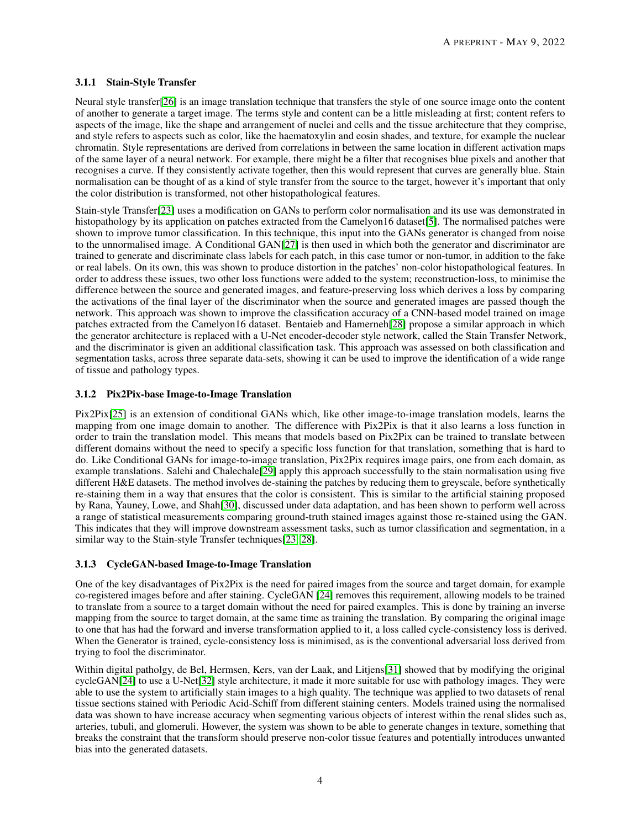#### 3.1.1 Stain-Style Transfer

Neural style transfer[\[26\]](#page-7-14) is an image translation technique that transfers the style of one source image onto the content of another to generate a target image. The terms style and content can be a little misleading at first; content refers to aspects of the image, like the shape and arrangement of nuclei and cells and the tissue architecture that they comprise, and style refers to aspects such as color, like the haematoxylin and eosin shades, and texture, for example the nuclear chromatin. Style representations are derived from correlations in between the same location in different activation maps of the same layer of a neural network. For example, there might be a filter that recognises blue pixels and another that recognises a curve. If they consistently activate together, then this would represent that curves are generally blue. Stain normalisation can be thought of as a kind of style transfer from the source to the target, however it's important that only the color distribution is transformed, not other histopathological features.

Stain-style Transfer[\[23\]](#page-7-11) uses a modification on GANs to perform color normalisation and its use was demonstrated in histopathology by its application on patches extracted from the Camelyon16 dataset[\[5\]](#page-6-4). The normalised patches were shown to improve tumor classification. In this technique, this input into the GANs generator is changed from noise to the unnormalised image. A Conditional GAN[\[27\]](#page-7-15) is then used in which both the generator and discriminator are trained to generate and discriminate class labels for each patch, in this case tumor or non-tumor, in addition to the fake or real labels. On its own, this was shown to produce distortion in the patches' non-color histopathological features. In order to address these issues, two other loss functions were added to the system; reconstruction-loss, to minimise the difference between the source and generated images, and feature-preserving loss which derives a loss by comparing the activations of the final layer of the discriminator when the source and generated images are passed though the network. This approach was shown to improve the classification accuracy of a CNN-based model trained on image patches extracted from the Camelyon16 dataset. Bentaieb and Hamerneh[\[28\]](#page-7-16) propose a similar approach in which the generator architecture is replaced with a U-Net encoder-decoder style network, called the Stain Transfer Network, and the discriminator is given an additional classification task. This approach was assessed on both classification and segmentation tasks, across three separate data-sets, showing it can be used to improve the identification of a wide range of tissue and pathology types.

#### 3.1.2 Pix2Pix-base Image-to-Image Translation

Pix2Pix[\[25\]](#page-7-13) is an extension of conditional GANs which, like other image-to-image translation models, learns the mapping from one image domain to another. The difference with Pix2Pix is that it also learns a loss function in order to train the translation model. This means that models based on Pix2Pix can be trained to translate between different domains without the need to specify a specific loss function for that translation, something that is hard to do. Like Conditional GANs for image-to-image translation, Pix2Pix requires image pairs, one from each domain, as example translations. Salehi and Chalechale<sup>[\[29\]](#page-7-17)</sup> apply this approach successfully to the stain normalisation using five different H&E datasets. The method involves de-staining the patches by reducing them to greyscale, before synthetically re-staining them in a way that ensures that the color is consistent. This is similar to the artificial staining proposed by Rana, Yauney, Lowe, and Shah[\[30\]](#page-7-18), discussed under data adaptation, and has been shown to perform well across a range of statistical measurements comparing ground-truth stained images against those re-stained using the GAN. This indicates that they will improve downstream assessment tasks, such as tumor classification and segmentation, in a similar way to the Stain-style Transfer techniques[\[23,](#page-7-11) [28\]](#page-7-16).

#### 3.1.3 CycleGAN-based Image-to-Image Translation

One of the key disadvantages of Pix2Pix is the need for paired images from the source and target domain, for example co-registered images before and after staining. CycleGAN [\[24\]](#page-7-12) removes this requirement, allowing models to be trained to translate from a source to a target domain without the need for paired examples. This is done by training an inverse mapping from the source to target domain, at the same time as training the translation. By comparing the original image to one that has had the forward and inverse transformation applied to it, a loss called cycle-consistency loss is derived. When the Generator is trained, cycle-consistency loss is minimised, as is the conventional adversarial loss derived from trying to fool the discriminator.

Within digital patholgy, de Bel, Hermsen, Kers, van der Laak, and Litjens[\[31\]](#page-7-19) showed that by modifying the original cycleGAN[\[24\]](#page-7-12) to use a U-Net[\[32\]](#page-8-0) style architecture, it made it more suitable for use with pathology images. They were able to use the system to artificially stain images to a high quality. The technique was applied to two datasets of renal tissue sections stained with Periodic Acid-Schiff from different staining centers. Models trained using the normalised data was shown to have increase accuracy when segmenting various objects of interest within the renal slides such as, arteries, tubuli, and glomeruli. However, the system was shown to be able to generate changes in texture, something that breaks the constraint that the transform should preserve non-color tissue features and potentially introduces unwanted bias into the generated datasets.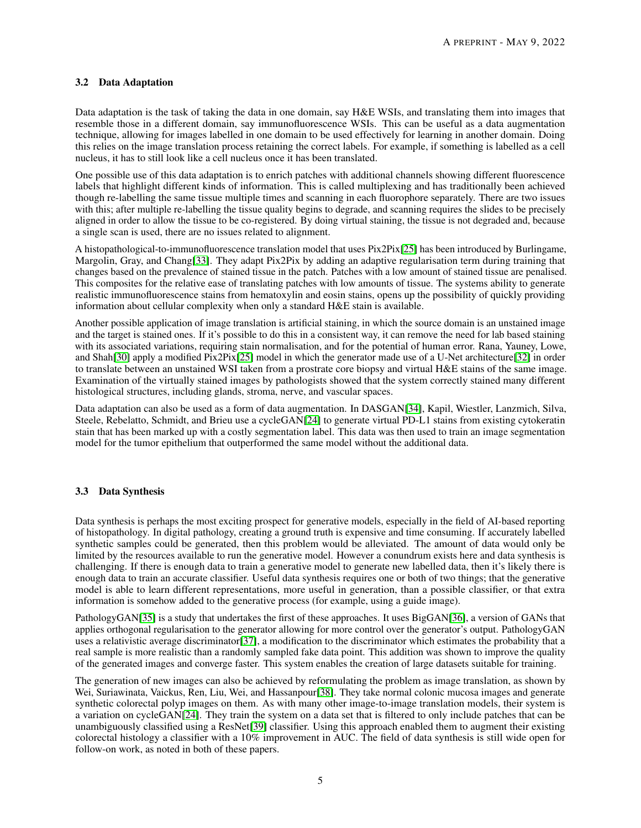#### 3.2 Data Adaptation

Data adaptation is the task of taking the data in one domain, say H&E WSIs, and translating them into images that resemble those in a different domain, say immunofluorescence WSIs. This can be useful as a data augmentation technique, allowing for images labelled in one domain to be used effectively for learning in another domain. Doing this relies on the image translation process retaining the correct labels. For example, if something is labelled as a cell nucleus, it has to still look like a cell nucleus once it has been translated.

One possible use of this data adaptation is to enrich patches with additional channels showing different fluorescence labels that highlight different kinds of information. This is called multiplexing and has traditionally been achieved though re-labelling the same tissue multiple times and scanning in each fluorophore separately. There are two issues with this; after multiple re-labelling the tissue quality begins to degrade, and scanning requires the slides to be precisely aligned in order to allow the tissue to be co-registered. By doing virtual staining, the tissue is not degraded and, because a single scan is used, there are no issues related to alignment.

A histopathological-to-immunofluorescence translation model that uses Pix2Pix[\[25\]](#page-7-13) has been introduced by Burlingame, Margolin, Gray, and Chang[\[33\]](#page-8-1). They adapt Pix2Pix by adding an adaptive regularisation term during training that changes based on the prevalence of stained tissue in the patch. Patches with a low amount of stained tissue are penalised. This composites for the relative ease of translating patches with low amounts of tissue. The systems ability to generate realistic immunofluorescence stains from hematoxylin and eosin stains, opens up the possibility of quickly providing information about cellular complexity when only a standard H&E stain is available.

Another possible application of image translation is artificial staining, in which the source domain is an unstained image and the target is stained ones. If it's possible to do this in a consistent way, it can remove the need for lab based staining with its associated variations, requiring stain normalisation, and for the potential of human error. Rana, Yauney, Lowe, and Shah[\[30\]](#page-7-18) apply a modified Pix2Pix[\[25\]](#page-7-13) model in which the generator made use of a U-Net architecture[\[32\]](#page-8-0) in order to translate between an unstained WSI taken from a prostrate core biopsy and virtual H&E stains of the same image. Examination of the virtually stained images by pathologists showed that the system correctly stained many different histological structures, including glands, stroma, nerve, and vascular spaces.

Data adaptation can also be used as a form of data augmentation. In DASGAN[\[34\]](#page-8-2), Kapil, Wiestler, Lanzmich, Silva, Steele, Rebelatto, Schmidt, and Brieu use a cycleGAN[\[24\]](#page-7-12) to generate virtual PD-L1 stains from existing cytokeratin stain that has been marked up with a costly segmentation label. This data was then used to train an image segmentation model for the tumor epithelium that outperformed the same model without the additional data.

#### 3.3 Data Synthesis

Data synthesis is perhaps the most exciting prospect for generative models, especially in the field of AI-based reporting of histopathology. In digital pathology, creating a ground truth is expensive and time consuming. If accurately labelled synthetic samples could be generated, then this problem would be alleviated. The amount of data would only be limited by the resources available to run the generative model. However a conundrum exists here and data synthesis is challenging. If there is enough data to train a generative model to generate new labelled data, then it's likely there is enough data to train an accurate classifier. Useful data synthesis requires one or both of two things; that the generative model is able to learn different representations, more useful in generation, than a possible classifier, or that extra information is somehow added to the generative process (for example, using a guide image).

PathologyGAN[\[35\]](#page-8-3) is a study that undertakes the first of these approaches. It uses BigGAN[\[36\]](#page-8-4), a version of GANs that applies orthogonal regularisation to the generator allowing for more control over the generator's output. PathologyGAN uses a relativistic average discriminator[\[37\]](#page-8-5), a modification to the discriminator which estimates the probability that a real sample is more realistic than a randomly sampled fake data point. This addition was shown to improve the quality of the generated images and converge faster. This system enables the creation of large datasets suitable for training.

The generation of new images can also be achieved by reformulating the problem as image translation, as shown by Wei, Suriawinata, Vaickus, Ren, Liu, Wei, and Hassanpour[\[38\]](#page-8-6). They take normal colonic mucosa images and generate synthetic colorectal polyp images on them. As with many other image-to-image translation models, their system is a variation on cycleGAN[\[24\]](#page-7-12). They train the system on a data set that is filtered to only include patches that can be unambiguously classified using a ResNet[\[39\]](#page-8-7) classifier. Using this approach enabled them to augment their existing colorectal histology a classifier with a 10% improvement in AUC. The field of data synthesis is still wide open for follow-on work, as noted in both of these papers.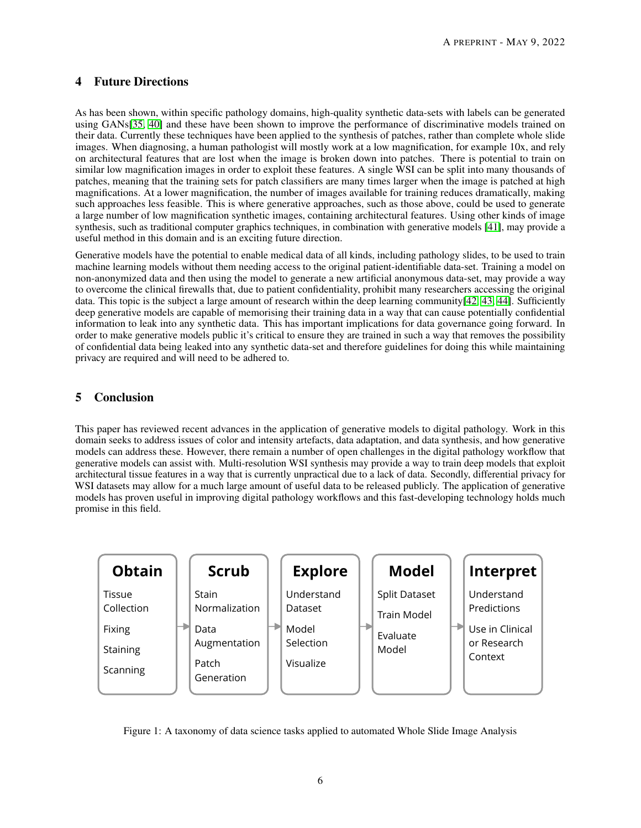## 4 Future Directions

As has been shown, within specific pathology domains, high-quality synthetic data-sets with labels can be generated using GANs[\[35,](#page-8-3) [40\]](#page-8-8) and these have been shown to improve the performance of discriminative models trained on their data. Currently these techniques have been applied to the synthesis of patches, rather than complete whole slide images. When diagnosing, a human pathologist will mostly work at a low magnification, for example 10x, and rely on architectural features that are lost when the image is broken down into patches. There is potential to train on similar low magnification images in order to exploit these features. A single WSI can be split into many thousands of patches, meaning that the training sets for patch classifiers are many times larger when the image is patched at high magnifications. At a lower magnification, the number of images available for training reduces dramatically, making such approaches less feasible. This is where generative approaches, such as those above, could be used to generate a large number of low magnification synthetic images, containing architectural features. Using other kinds of image synthesis, such as traditional computer graphics techniques, in combination with generative models [\[41\]](#page-8-9), may provide a useful method in this domain and is an exciting future direction.

Generative models have the potential to enable medical data of all kinds, including pathology slides, to be used to train machine learning models without them needing access to the original patient-identifiable data-set. Training a model on non-anonymized data and then using the model to generate a new artificial anonymous data-set, may provide a way to overcome the clinical firewalls that, due to patient confidentiality, prohibit many researchers accessing the original data. This topic is the subject a large amount of research within the deep learning community $[42, 43, 44]$  $[42, 43, 44]$  $[42, 43, 44]$  $[42, 43, 44]$  $[42, 43, 44]$ . Sufficiently deep generative models are capable of memorising their training data in a way that can cause potentially confidential information to leak into any synthetic data. This has important implications for data governance going forward. In order to make generative models public it's critical to ensure they are trained in such a way that removes the possibility of confidential data being leaked into any synthetic data-set and therefore guidelines for doing this while maintaining privacy are required and will need to be adhered to.

## 5 Conclusion

This paper has reviewed recent advances in the application of generative models to digital pathology. Work in this domain seeks to address issues of color and intensity artefacts, data adaptation, and data synthesis, and how generative models can address these. However, there remain a number of open challenges in the digital pathology workflow that generative models can assist with. Multi-resolution WSI synthesis may provide a way to train deep models that exploit architectural tissue features in a way that is currently unpractical due to a lack of data. Secondly, differential privacy for WSI datasets may allow for a much large amount of useful data to be released publicly. The application of generative models has proven useful in improving digital pathology workflows and this fast-developing technology holds much promise in this field.



Figure 1: A taxonomy of data science tasks applied to automated Whole Slide Image Analysis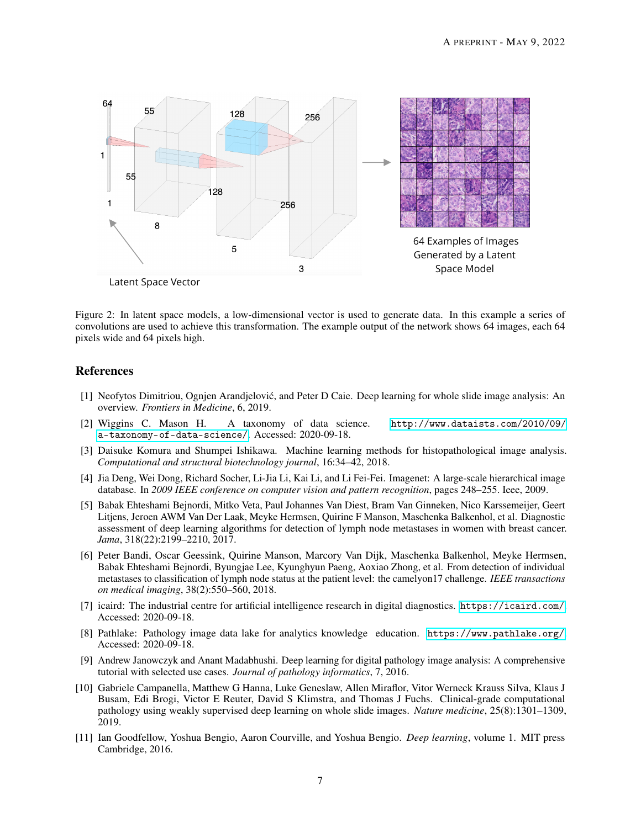

Figure 2: In latent space models, a low-dimensional vector is used to generate data. In this example a series of convolutions are used to achieve this transformation. The example output of the network shows 64 images, each 64 pixels wide and 64 pixels high.

### References

- <span id="page-6-0"></span>[1] Neofytos Dimitriou, Ognjen Arandjelovic, and Peter D Caie. Deep learning for whole slide image analysis: An ´ overview. *Frontiers in Medicine*, 6, 2019.
- <span id="page-6-1"></span>[2] Wiggins C. Mason H. A taxonomy of data science. [http://www.dataists.com/2010/09/](http://www.dataists.com/2010/09/a-taxonomy-of-data-science/) [a-taxonomy-of-data-science/](http://www.dataists.com/2010/09/a-taxonomy-of-data-science/). Accessed: 2020-09-18.
- <span id="page-6-2"></span>[3] Daisuke Komura and Shumpei Ishikawa. Machine learning methods for histopathological image analysis. *Computational and structural biotechnology journal*, 16:34–42, 2018.
- <span id="page-6-3"></span>[4] Jia Deng, Wei Dong, Richard Socher, Li-Jia Li, Kai Li, and Li Fei-Fei. Imagenet: A large-scale hierarchical image database. In *2009 IEEE conference on computer vision and pattern recognition*, pages 248–255. Ieee, 2009.
- <span id="page-6-4"></span>[5] Babak Ehteshami Bejnordi, Mitko Veta, Paul Johannes Van Diest, Bram Van Ginneken, Nico Karssemeijer, Geert Litjens, Jeroen AWM Van Der Laak, Meyke Hermsen, Quirine F Manson, Maschenka Balkenhol, et al. Diagnostic assessment of deep learning algorithms for detection of lymph node metastases in women with breast cancer. *Jama*, 318(22):2199–2210, 2017.
- <span id="page-6-5"></span>[6] Peter Bandi, Oscar Geessink, Quirine Manson, Marcory Van Dijk, Maschenka Balkenhol, Meyke Hermsen, Babak Ehteshami Bejnordi, Byungjae Lee, Kyunghyun Paeng, Aoxiao Zhong, et al. From detection of individual metastases to classification of lymph node status at the patient level: the camelyon17 challenge. *IEEE transactions on medical imaging*, 38(2):550–560, 2018.
- <span id="page-6-6"></span>[7] icaird: The industrial centre for artificial intelligence research in digital diagnostics. <https://icaird.com/>. Accessed: 2020-09-18.
- <span id="page-6-7"></span>[8] Pathlake: Pathology image data lake for analytics knowledge education. <https://www.pathlake.org/>. Accessed: 2020-09-18.
- <span id="page-6-8"></span>[9] Andrew Janowczyk and Anant Madabhushi. Deep learning for digital pathology image analysis: A comprehensive tutorial with selected use cases. *Journal of pathology informatics*, 7, 2016.
- <span id="page-6-9"></span>[10] Gabriele Campanella, Matthew G Hanna, Luke Geneslaw, Allen Miraflor, Vitor Werneck Krauss Silva, Klaus J Busam, Edi Brogi, Victor E Reuter, David S Klimstra, and Thomas J Fuchs. Clinical-grade computational pathology using weakly supervised deep learning on whole slide images. *Nature medicine*, 25(8):1301–1309, 2019.
- <span id="page-6-10"></span>[11] Ian Goodfellow, Yoshua Bengio, Aaron Courville, and Yoshua Bengio. *Deep learning*, volume 1. MIT press Cambridge, 2016.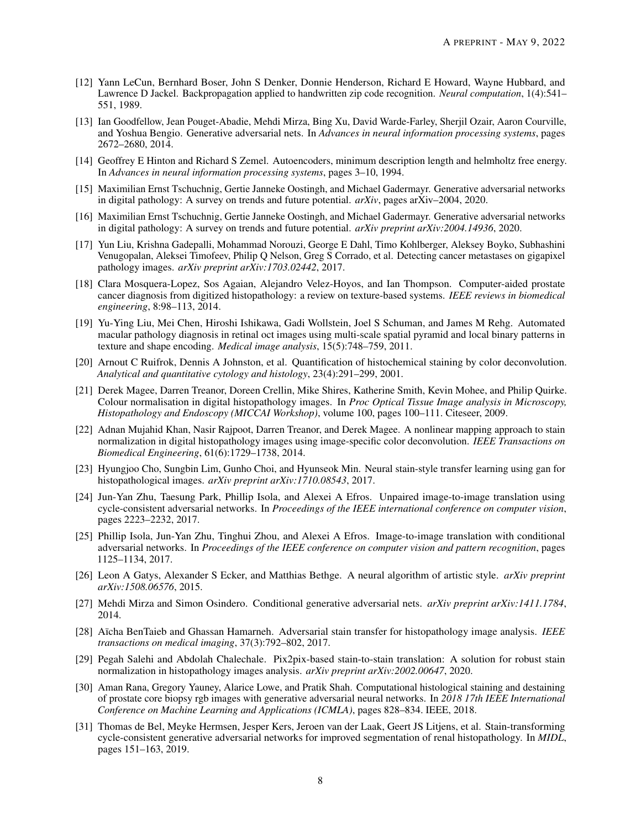- <span id="page-7-0"></span>[12] Yann LeCun, Bernhard Boser, John S Denker, Donnie Henderson, Richard E Howard, Wayne Hubbard, and Lawrence D Jackel. Backpropagation applied to handwritten zip code recognition. *Neural computation*, 1(4):541– 551, 1989.
- <span id="page-7-1"></span>[13] Ian Goodfellow, Jean Pouget-Abadie, Mehdi Mirza, Bing Xu, David Warde-Farley, Sherjil Ozair, Aaron Courville, and Yoshua Bengio. Generative adversarial nets. In *Advances in neural information processing systems*, pages 2672–2680, 2014.
- <span id="page-7-2"></span>[14] Geoffrey E Hinton and Richard S Zemel. Autoencoders, minimum description length and helmholtz free energy. In *Advances in neural information processing systems*, pages 3–10, 1994.
- <span id="page-7-3"></span>[15] Maximilian Ernst Tschuchnig, Gertie Janneke Oostingh, and Michael Gadermayr. Generative adversarial networks in digital pathology: A survey on trends and future potential. *arXiv*, pages arXiv–2004, 2020.
- <span id="page-7-4"></span>[16] Maximilian Ernst Tschuchnig, Gertie Janneke Oostingh, and Michael Gadermayr. Generative adversarial networks in digital pathology: A survey on trends and future potential. *arXiv preprint arXiv:2004.14936*, 2020.
- <span id="page-7-5"></span>[17] Yun Liu, Krishna Gadepalli, Mohammad Norouzi, George E Dahl, Timo Kohlberger, Aleksey Boyko, Subhashini Venugopalan, Aleksei Timofeev, Philip Q Nelson, Greg S Corrado, et al. Detecting cancer metastases on gigapixel pathology images. *arXiv preprint arXiv:1703.02442*, 2017.
- <span id="page-7-6"></span>[18] Clara Mosquera-Lopez, Sos Agaian, Alejandro Velez-Hoyos, and Ian Thompson. Computer-aided prostate cancer diagnosis from digitized histopathology: a review on texture-based systems. *IEEE reviews in biomedical engineering*, 8:98–113, 2014.
- <span id="page-7-7"></span>[19] Yu-Ying Liu, Mei Chen, Hiroshi Ishikawa, Gadi Wollstein, Joel S Schuman, and James M Rehg. Automated macular pathology diagnosis in retinal oct images using multi-scale spatial pyramid and local binary patterns in texture and shape encoding. *Medical image analysis*, 15(5):748–759, 2011.
- <span id="page-7-8"></span>[20] Arnout C Ruifrok, Dennis A Johnston, et al. Quantification of histochemical staining by color deconvolution. *Analytical and quantitative cytology and histology*, 23(4):291–299, 2001.
- <span id="page-7-9"></span>[21] Derek Magee, Darren Treanor, Doreen Crellin, Mike Shires, Katherine Smith, Kevin Mohee, and Philip Quirke. Colour normalisation in digital histopathology images. In *Proc Optical Tissue Image analysis in Microscopy, Histopathology and Endoscopy (MICCAI Workshop)*, volume 100, pages 100–111. Citeseer, 2009.
- <span id="page-7-10"></span>[22] Adnan Mujahid Khan, Nasir Rajpoot, Darren Treanor, and Derek Magee. A nonlinear mapping approach to stain normalization in digital histopathology images using image-specific color deconvolution. *IEEE Transactions on Biomedical Engineering*, 61(6):1729–1738, 2014.
- <span id="page-7-11"></span>[23] Hyungjoo Cho, Sungbin Lim, Gunho Choi, and Hyunseok Min. Neural stain-style transfer learning using gan for histopathological images. *arXiv preprint arXiv:1710.08543*, 2017.
- <span id="page-7-12"></span>[24] Jun-Yan Zhu, Taesung Park, Phillip Isola, and Alexei A Efros. Unpaired image-to-image translation using cycle-consistent adversarial networks. In *Proceedings of the IEEE international conference on computer vision*, pages 2223–2232, 2017.
- <span id="page-7-13"></span>[25] Phillip Isola, Jun-Yan Zhu, Tinghui Zhou, and Alexei A Efros. Image-to-image translation with conditional adversarial networks. In *Proceedings of the IEEE conference on computer vision and pattern recognition*, pages 1125–1134, 2017.
- <span id="page-7-14"></span>[26] Leon A Gatys, Alexander S Ecker, and Matthias Bethge. A neural algorithm of artistic style. *arXiv preprint arXiv:1508.06576*, 2015.
- <span id="page-7-15"></span>[27] Mehdi Mirza and Simon Osindero. Conditional generative adversarial nets. *arXiv preprint arXiv:1411.1784*, 2014.
- <span id="page-7-16"></span>[28] Aïcha BenTaieb and Ghassan Hamarneh. Adversarial stain transfer for histopathology image analysis. *IEEE transactions on medical imaging*, 37(3):792–802, 2017.
- <span id="page-7-17"></span>[29] Pegah Salehi and Abdolah Chalechale. Pix2pix-based stain-to-stain translation: A solution for robust stain normalization in histopathology images analysis. *arXiv preprint arXiv:2002.00647*, 2020.
- <span id="page-7-18"></span>[30] Aman Rana, Gregory Yauney, Alarice Lowe, and Pratik Shah. Computational histological staining and destaining of prostate core biopsy rgb images with generative adversarial neural networks. In *2018 17th IEEE International Conference on Machine Learning and Applications (ICMLA)*, pages 828–834. IEEE, 2018.
- <span id="page-7-19"></span>[31] Thomas de Bel, Meyke Hermsen, Jesper Kers, Jeroen van der Laak, Geert JS Litjens, et al. Stain-transforming cycle-consistent generative adversarial networks for improved segmentation of renal histopathology. In *MIDL*, pages 151–163, 2019.